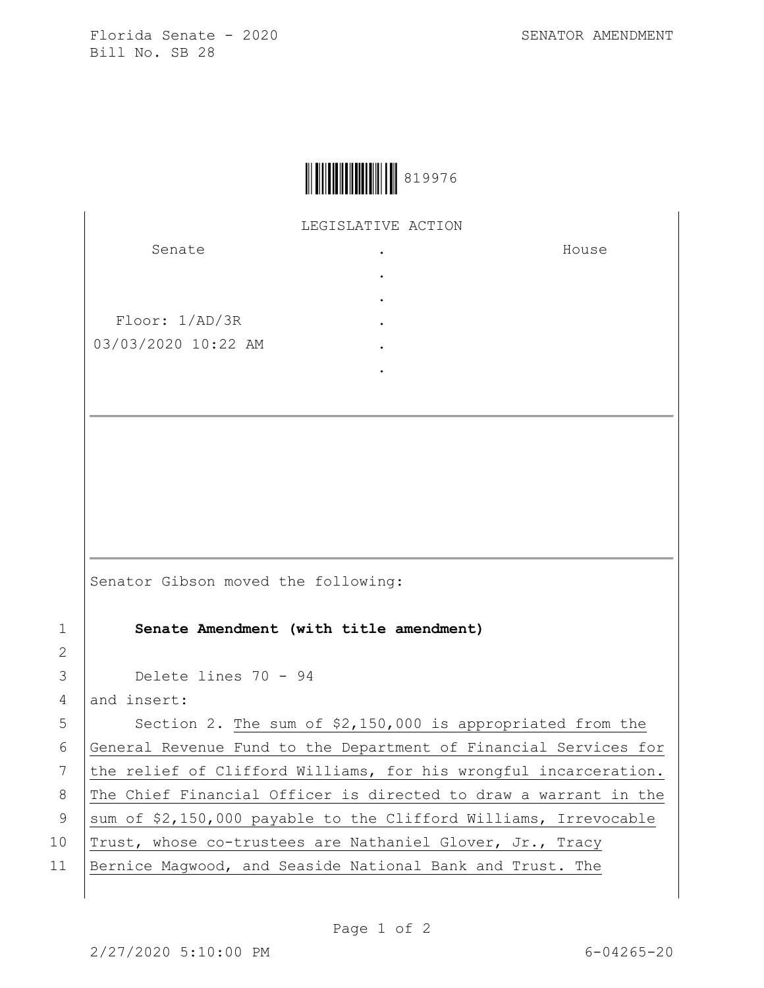Florida Senate - 2020 SENATOR AMENDMENT Bill No. SB 28

House



LEGISLATIVE ACTION .

> . . . . .

Senate

Floor: 1/AD/3R 03/03/2020 10:22 AM

Senator Gibson moved the following:

1 **Senate Amendment (with title amendment)**

3 Delete lines 70 - 94

4 and insert:

 $5$  Section 2. The sum of \$2,150,000 is appropriated from the 6 General Revenue Fund to the Department of Financial Services for 7 the relief of Clifford Williams, for his wrongful incarceration. 8 The Chief Financial Officer is directed to draw a warrant in the 9 | sum of \$2,150,000 payable to the Clifford Williams, Irrevocable 10 Trust, whose co-trustees are Nathaniel Glover, Jr., Tracy 11 | Bernice Magwood, and Seaside National Bank and Trust. The

2